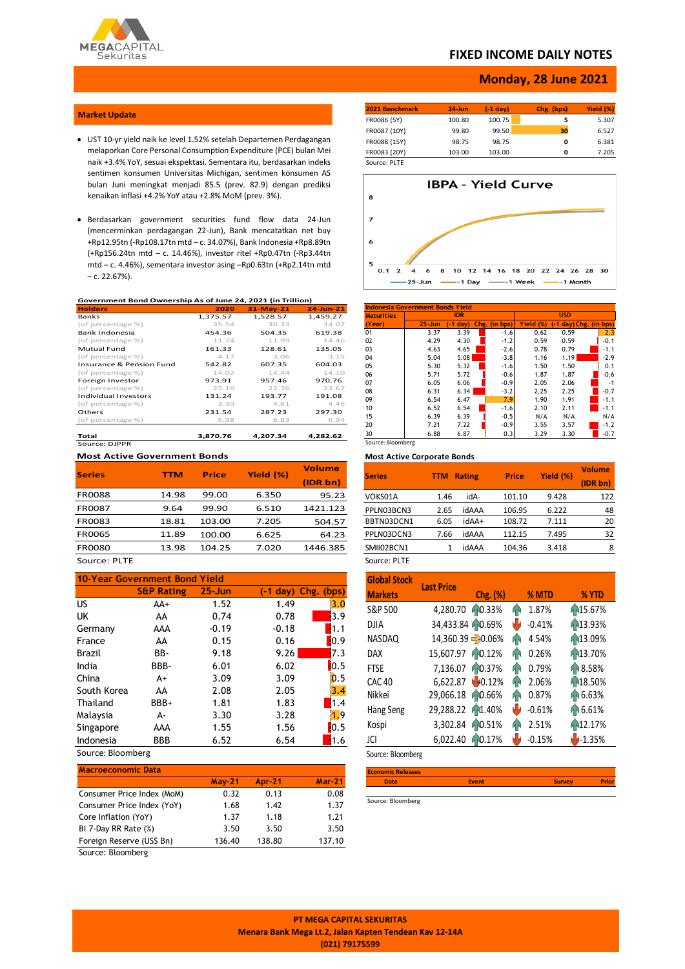

## **FIXED INCOME DAILY NOTES**

### **Monday, 28 June 2021**

### **Market Update**

- UST 10-yr yield naik ke level 1.52% setelah Departemen Perdagangan melaporkan Core Personal Consumption Expenditure (PCE) bulan Mei naik +3.4% YoY, sesuai ekspektasi. Sementara itu, berdasarkan indeks sentimen konsumen Universitas Michigan, sentimen konsumen AS bulan Juni meningkat menjadi 85.5 (prev. 82.9) dengan prediksi kenaikan inflasi +4.2% YoY atau +2.8% MoM (prev. 3%).
- Berdasarkan government securities fund flow data 24-Jun (mencerminkan perdagangan 22-Jun), Bank mencatatkan net buy +Rp12.95tn (-Rp108.17tn mtd – c. 34.07%), Bank Indonesia +Rp8.89tn (+Rp156.24tn mtd – c. 14.46%), investor ritel +Rp0.47tn (-Rp3.44tn mtd – c. 4.46%), sementara investor asing –Rp0.63tn (+Rp2.14tn mtd – c. 22.67%).

#### **Government Bond Ownership As of June 24, 2021 (in Trillion)**

| <b>Holders</b>              | 2020     | $31-May-21$ | $24 - Jun-21$ |
|-----------------------------|----------|-------------|---------------|
| <b>Banks</b>                | 1,375.57 | 1,528.57    | 1,459.27      |
| (of percentage %)           | 35.54    | 36.33       | 34.07         |
| Bank Indonesia              | 454.36   | 504.35      | 619.38        |
| (of percentage %)           | 11.74    | 11.99       | 14.46         |
| Mutual Fund                 | 161.33   | 128.61      | 135.05        |
| (of percentage %)           | 4.17     | 3.06        | 3.15          |
| Insurance & Pension Fund    | 542.82   | 607.35      | 604.03        |
| (of percentage %)           | 14.02    | 14.44       | 14.10         |
| Foreign Investor            | 973.91   | 957.46      | 970.76        |
| (of percentage %)           | 25.16    | 22.76       | 22.67         |
| <b>Individual Investors</b> | 131.24   | 193.77      | 191.08        |
| (of percentage %)           | 3.39     | 4.61        | 4.46          |
| Others                      | 231.54   | 287.23      | 297.30        |
| (of percentage %)           | 5.98     | 6.83        | 6.94          |
| Total                       | 3.870.76 | 4.207.34    | 4.282.62      |
| Source: DIPPR               |          |             |               |

#### **Most Active Government Bonds**

| <b>Series</b> | TTM   | <b>Price</b> | Yield (%) | <b>Volume</b> |
|---------------|-------|--------------|-----------|---------------|
|               |       |              |           | (IDR bn)      |
| <b>FR0088</b> | 14.98 | 99.00        | 6.350     | 95.23         |
| FR0087        | 9.64  | 99.90        | 6.510     | 1421.123      |
| FR0083        | 18.81 | 103.00       | 7.205     | 504.57        |
| <b>FR0065</b> | 11.89 | 100.00       | 6.625     | 64.23         |
| <b>FR0080</b> | 13.98 | 104.25       | 7.020     | 1446.385      |
| - ---         |       |              |           |               |

## Source: PLTE

| 10-Year Government Bond Yield |                       |            |            |                    |  |  |  |
|-------------------------------|-----------------------|------------|------------|--------------------|--|--|--|
|                               | <b>S&amp;P Rating</b> | $25 - Jun$ | $(-1$ day) | Chg. (bps)         |  |  |  |
| US.                           | $AA+$                 | 1.52       | 1.49       | 3.0                |  |  |  |
| <b>UK</b>                     | AA                    | 0.74       | 0.78       | 13.9               |  |  |  |
| Germany                       | AAA                   | $-0.19$    | $-0.18$    | 1.1                |  |  |  |
| France                        | AA                    | 0.15       | 0.16       | 0.9                |  |  |  |
| Brazil                        | BB-                   | 9.18       | 9.26       | 7.3                |  |  |  |
| India                         | BBB-                  | 6.01       | 6.02       | 10.5               |  |  |  |
| China                         | A+                    | 3.09       | 3.09       | 0.5                |  |  |  |
| South Korea                   | AA                    | 2.08       | 2.05       | 3.4                |  |  |  |
| Thailand                      | BBB+                  | 1.81       | 1.83       | 1.4                |  |  |  |
| Malaysia                      | А-                    | 3.30       | 3.28       | 1.9                |  |  |  |
| Singapore                     | AAA                   | 1.55       | 1.56       | $\blacksquare$ 0.5 |  |  |  |
| Indonesia                     | <b>BBB</b>            | 6.52       | 6.54       | 1.6                |  |  |  |

## Source: Bloomberg

| <b>Macroeconomic Data</b>  |          |               |          |
|----------------------------|----------|---------------|----------|
|                            | $May-21$ | <b>Apr-21</b> | $Mar-21$ |
| Consumer Price Index (MoM) | 0.32     | 0.13          | 0.08     |
| Consumer Price Index (YoY) | 1.68     | 1.42          | 1.37     |
| Core Inflation (YoY)       | 1.37     | 1.18          | 1.21     |
| BI 7-Day RR Rate (%)       | 3.50     | 3.50          | 3.50     |
| Foreign Reserve (US\$ Bn)  | 136.40   | 138.80        | 137.10   |

Source: Bloomberg

| 2021 Benchmark | $24$ -Jun | $(-1)$ day) | Chg. (bps) | Yield (%) |
|----------------|-----------|-------------|------------|-----------|
| FR0086 (5Y)    | 100.80    | 100.75      | 5          | 5.307     |
| FR0087 (10Y)   | 99.80     | 99.50       | 30         | 6.527     |
| FR0088 (15Y)   | 98.75     | 98.75       | o          | 6.381     |
| FR0083 (20Y)   | 103.00    | 103.00      | o          | 7.205     |
| Source: PLTE   |           |             |            |           |



| <b>Indonesia Government Bonds Yield</b> |            |            |  |               |            |      |                        |  |  |
|-----------------------------------------|------------|------------|--|---------------|------------|------|------------------------|--|--|
| <b>Maturities</b>                       |            | <b>IDR</b> |  |               | <b>USD</b> |      |                        |  |  |
| (Year)                                  | $25 - Jun$ | $-1$ day)  |  | Chg. (in bps) | Yield (%)  |      | (-1 day) Chg. (in bps) |  |  |
| 01                                      | 3.37       | 3.39       |  | $-1.6$        | 0.62       | 0.59 | 2.3                    |  |  |
| 02                                      | 4.29       | 4.30       |  | $-1.2$        | 0.59       | 0.59 | $-0.1$                 |  |  |
| 03                                      | 4.63       | 4.65       |  | $-2.6$        | 0.78       | 0.79 | $-1.1$                 |  |  |
| 04                                      | 5.04       | 5.08       |  | $-3.8$        | 1.16       | 1.19 | $-2.9$                 |  |  |
| 05                                      | 5.30       | 5.32       |  | $-1.6$        | 1.50       | 1.50 | 0.1                    |  |  |
| 06                                      | 5.71       | 5.72       |  | $-0.6$        | 1.87       | 1.87 | $-0.6$                 |  |  |
| 07                                      | 6.05       | 6.06       |  | $-0.9$        | 2.05       | 2.06 | $-1$                   |  |  |
| 08                                      | 6.31       | 6.34       |  | $-3.2$        | 2.25       | 2.25 | $-0.7$                 |  |  |
| 09                                      | 6.54       | 6.47       |  | 7.9           | 1.90       | 1.91 | $-1.1$                 |  |  |
| 10                                      | 6.52       | 6.54       |  | $-1.6$        | 2.10       | 2.11 | $-1.1$                 |  |  |
| 15                                      | 6.39       | 6.39       |  | $-0.5$        | N/A        | N/A  | N/A                    |  |  |
| 20                                      | 7.21       | 7.22       |  | $-0.9$        | 3.55       | 3.57 | $-1.2$                 |  |  |
| 30                                      | 6.88       | 6.87       |  | 0.3           | 3.29       | 3.30 | $-0.7$                 |  |  |
| Source: Bloomberg                       |            |            |  |               |            |      |                        |  |  |

#### **Most Active Corporate Bonds**

| <b>Series</b> | <b>TTM</b> | <b>Rating</b> | <b>Price</b> | Yield (%) | <b>Volume</b><br>(IDR bn) |
|---------------|------------|---------------|--------------|-----------|---------------------------|
| VOKS01A       | 1.46       | idA-          | 101.10       | 9.428     | 122                       |
| PPLN03BCN3    | 2.65       | idAAA         | 106.95       | 6.222     | 48                        |
| BBTN03DCN1    | 6.05       | idAA+         | 108.72       | 7.111     | 20                        |
| PPLN03DCN3    | 7.66       | idAAA         | 112.15       | 7.495     | 32                        |
| SMII02BCN1    | 1          | idAAA         | 104.36       | 3.418     | 8                         |
| Source: PLTE  |            |               |              |           |                           |

| <b>Global Stock</b> | <b>Last Price</b> |                   |    |          |          |
|---------------------|-------------------|-------------------|----|----------|----------|
| <b>Markets</b>      |                   | Chg. (%)          |    | % MTD    | % YTD    |
| S&P 500             | 4,280.70          | 10.33%            | hн | 1.87%    | 15.67%   |
| <b>DJIA</b>         | 34,433.84 0.69%   |                   | Ŵ  | $-0.41%$ | 13.93%   |
| NASDAQ              |                   | 14,360.39 - 0.06% | ЙŃ | 4.54%    | 13.09%   |
| <b>DAX</b>          | 15,607.97         | 10.12%            | ĤР | 0.26%    | 13.70%   |
| <b>FTSE</b>         | 7,136.07          | 10.37%            | ĤМ | 0.79%    | 18.58%   |
| <b>CAC 40</b>       | 6,622.87          | 10.12%            | ЙÑ | 2.06%    | 18.50%   |
| Nikkei              | 29,066.18         | 10.66%            | ĤМ | 0.87%    | 16.63%   |
| Hang Seng           | 29,288.22         | AN1.40%           | W  | $-0.61%$ | 16.61%   |
| Kospi               | 3,302.84          | 10.51%            | ЙŃ | 2.51%    | 12.17%   |
| JCI                 | 6,022.40          | 0.17%             |    | $-0.15%$ | $-1.35%$ |

Source: Bloomberg

| <b>Economic Releases</b> |              |               |              |
|--------------------------|--------------|---------------|--------------|
| <b>Date</b>              | <b>Event</b> | <b>Survey</b> | <b>Prior</b> |
|                          |              |               |              |

Source: Bloomberg

**PT MEGA CAPITAL SEKURITAS Menara Bank Mega Lt.2, Jalan Kapten Tendean Kav 12-14A (021) 79175599**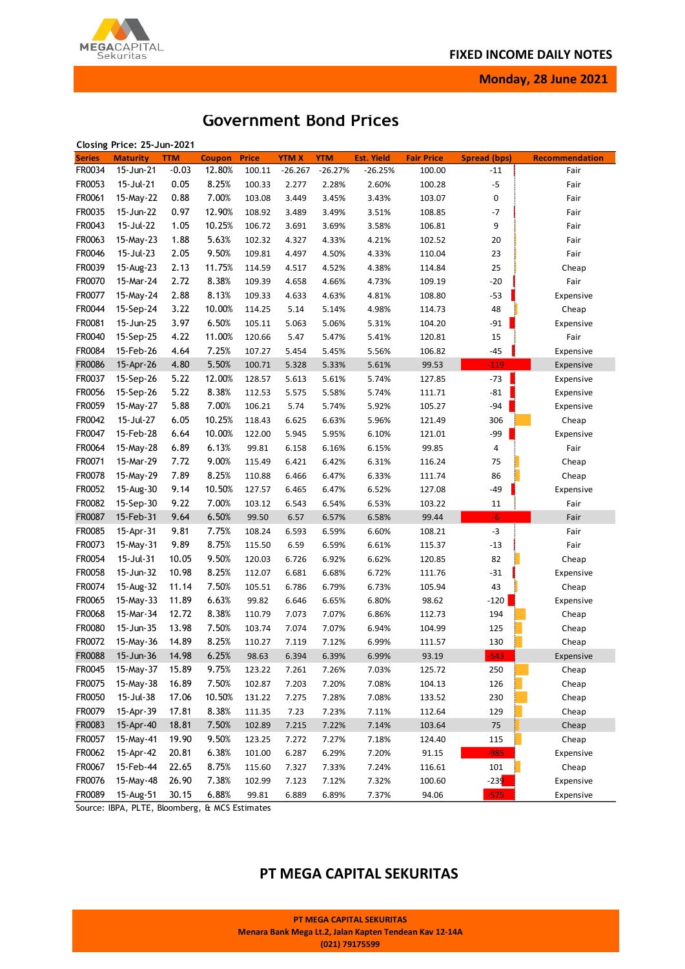

**Monday, 28 June 2021**

# **Government Bond Prices**

|               | Closing Price: 25-Jun-2021 |            |               |              |             |            |                   |                   |              |                |
|---------------|----------------------------|------------|---------------|--------------|-------------|------------|-------------------|-------------------|--------------|----------------|
| <b>Series</b> | <b>Maturity</b>            | <b>TTM</b> | <b>Coupon</b> | <b>Price</b> | <b>YTMX</b> | <b>YTM</b> | <b>Est. Yield</b> | <b>Fair Price</b> | Spread (bps) | Recommendation |
| FR0034        | 15-Jun-21                  | $-0.03$    | 12.80%        | 100.11       | $-26.267$   | $-26.27%$  | $-26.25%$         | 100.00            | $-11$        | Fair           |
| FR0053        | 15-Jul-21                  | 0.05       | 8.25%         | 100.33       | 2.277       | 2.28%      | 2.60%             | 100.28            | $-5$         | Fair           |
| FR0061        | 15-May-22                  | 0.88       | 7.00%         | 103.08       | 3.449       | 3.45%      | 3.43%             | 103.07            | 0            | Fair           |
| FR0035        | 15-Jun-22                  | 0.97       | 12.90%        | 108.92       | 3.489       | 3.49%      | 3.51%             | 108.85            | $-7$         | Fair           |
| FR0043        | 15-Jul-22                  | 1.05       | 10.25%        | 106.72       | 3.691       | 3.69%      | 3.58%             | 106.81            | 9            | Fair           |
| FR0063        | 15-May-23                  | 1.88       | 5.63%         | 102.32       | 4.327       | 4.33%      | 4.21%             | 102.52            | 20           | Fair           |
| FR0046        | 15-Jul-23                  | 2.05       | 9.50%         | 109.81       | 4.497       | 4.50%      | 4.33%             | 110.04            | 23           | Fair           |
| FR0039        | 15-Aug-23                  | 2.13       | 11.75%        | 114.59       | 4.517       | 4.52%      | 4.38%             | 114.84            | 25           | Cheap          |
| FR0070        | 15-Mar-24                  | 2.72       | 8.38%         | 109.39       | 4.658       | 4.66%      | 4.73%             | 109.19            | $-20$        | Fair           |
| FR0077        | 15-May-24                  | 2.88       | 8.13%         | 109.33       | 4.633       | 4.63%      | 4.81%             | 108.80            | $-53$        | Expensive      |
| FR0044        | 15-Sep-24                  | 3.22       | 10.00%        | 114.25       | 5.14        | 5.14%      | 4.98%             | 114.73            | 48           | Cheap          |
| FR0081        | 15-Jun-25                  | 3.97       | 6.50%         | 105.11       | 5.063       | 5.06%      | 5.31%             | 104.20            | $-91$        | Expensive      |
| FR0040        | 15-Sep-25                  | 4.22       | 11.00%        | 120.66       | 5.47        | 5.47%      | 5.41%             | 120.81            | 15           | Fair           |
| FR0084        | 15-Feb-26                  | 4.64       | 7.25%         | 107.27       | 5.454       | 5.45%      | 5.56%             | 106.82            | $-45$        | Expensive      |
| FR0086        | 15-Apr-26                  | 4.80       | 5.50%         | 100.71       | 5.328       | 5.33%      | 5.61%             | 99.53             | $-119$       | Expensive      |
| FR0037        | 15-Sep-26                  | 5.22       | 12.00%        | 128.57       | 5.613       | 5.61%      | 5.74%             | 127.85            | $-73$        | Expensive      |
| FR0056        | 15-Sep-26                  | 5.22       | 8.38%         | 112.53       | 5.575       | 5.58%      | 5.74%             | 111.71            | $-81$        | Expensive      |
| FR0059        | 15-May-27                  | 5.88       | 7.00%         | 106.21       | 5.74        | 5.74%      | 5.92%             | 105.27            | $-94$        | Expensive      |
| FR0042        | 15-Jul-27                  | 6.05       | 10.25%        | 118.43       | 6.625       | 6.63%      | 5.96%             | 121.49            | 306          |                |
|               |                            |            |               |              |             |            |                   |                   |              | Cheap          |
| FR0047        | 15-Feb-28                  | 6.64       | 10.00%        | 122.00       | 5.945       | 5.95%      | 6.10%             | 121.01            | $-99$        | Expensive      |
| FR0064        | 15-May-28                  | 6.89       | 6.13%         | 99.81        | 6.158       | 6.16%      | 6.15%             | 99.85             | 4            | Fair           |
| FR0071        | 15-Mar-29                  | 7.72       | 9.00%         | 115.49       | 6.421       | 6.42%      | 6.31%             | 116.24            | 75           | Cheap          |
| FR0078        | 15-May-29                  | 7.89       | 8.25%         | 110.88       | 6.466       | 6.47%      | 6.33%             | 111.74            | 86           | Cheap          |
| FR0052        | 15-Aug-30                  | 9.14       | 10.50%        | 127.57       | 6.465       | 6.47%      | 6.52%             | 127.08            | $-49$        | Expensive      |
| FR0082        | 15-Sep-30                  | 9.22       | 7.00%         | 103.12       | 6.543       | 6.54%      | 6.53%             | 103.22            | 11           | Fair           |
| FR0087        | 15-Feb-31                  | 9.64       | 6.50%         | 99.50        | 6.57        | 6.57%      | 6.58%             | 99.44             | $-6$         | Fair           |
| FR0085        | 15-Apr-31                  | 9.81       | 7.75%         | 108.24       | 6.593       | 6.59%      | 6.60%             | 108.21            | $-3$         | Fair           |
| FR0073        | 15-May-31                  | 9.89       | 8.75%         | 115.50       | 6.59        | 6.59%      | 6.61%             | 115.37            | $-13$        | Fair           |
| FR0054        | 15-Jul-31                  | 10.05      | 9.50%         | 120.03       | 6.726       | 6.92%      | 6.62%             | 120.85            | 82           | Cheap          |
| FR0058        | 15-Jun-32                  | 10.98      | 8.25%         | 112.07       | 6.681       | 6.68%      | 6.72%             | 111.76            | $-31$        | Expensive      |
| FR0074        | 15-Aug-32                  | 11.14      | 7.50%         | 105.51       | 6.786       | 6.79%      | 6.73%             | 105.94            | 43           | Cheap          |
| FR0065        | 15-May-33                  | 11.89      | 6.63%         | 99.82        | 6.646       | 6.65%      | 6.80%             | 98.62             | $-120$       | Expensive      |
| FR0068        | 15-Mar-34                  | 12.72      | 8.38%         | 110.79       | 7.073       | 7.07%      | 6.86%             | 112.73            | 194          | Cheap          |
| FR0080        | 15-Jun-35                  | 13.98      | 7.50%         | 103.74       | 7.074       | 7.07%      | 6.94%             | 104.99            | 125          | Cheap          |
| FR0072        | 15-May-36                  | 14.89      | 8.25%         | 110.27       | 7.119       | 7.12%      | 6.99%             | 111.57            | 130          | Cheap          |
| <b>FR0088</b> | 15-Jun-36                  | 14.98      | 6.25%         | 98.63        | 6.394       | 6.39%      | 6.99%             | 93.19             | $-543$       | Expensive      |
| FR0045        | 15-May-37                  | 15.89      | 9.75%         | 123.22       | 7.261       | 7.26%      | 7.03%             | 125.72            | 250          | Cheap          |
| FR0075        | 15-May-38                  | 16.89      | 7.50%         | 102.87       | 7.203       | 7.20%      | 7.08%             | 104.13            | 126          | Cheap          |
| FR0050        | 15-Jul-38                  | 17.06      | 10.50%        | 131.22       | 7.275       | 7.28%      | 7.08%             | 133.52            | 230          | Cheap          |
| FR0079        | 15-Apr-39                  | 17.81      | 8.38%         | 111.35       | 7.23        | 7.23%      | 7.11%             | 112.64            | 129          | Cheap          |
| FR0083        | 15-Apr-40                  | 18.81      | 7.50%         | 102.89       | 7.215       | 7.22%      | 7.14%             | 103.64            | 75           | Cheap          |
| FR0057        | 15-May-41                  | 19.90      | 9.50%         | 123.25       | 7.272       | 7.27%      | 7.18%             | 124.40            | 115          | Cheap          |
| FR0062        | 15-Apr-42                  | 20.81      | 6.38%         | 101.00       | 6.287       | 6.29%      | 7.20%             | 91.15             | $-985$       | Expensive      |
| FR0067        | 15-Feb-44                  | 22.65      | 8.75%         | 115.60       | 7.327       | 7.33%      | 7.24%             | 116.61            | 101          | Cheap          |
| FR0076        | 15-May-48                  | 26.90      | 7.38%         | 102.99       | 7.123       | 7.12%      | 7.32%             | 100.60            | $-239$       | Expensive      |
| FR0089        | 15-Aug-51                  | 30.15      | 6.88%         | 99.81        | 6.889       | 6.89%      | 7.37%             | 94.06             | $-575$       | Expensive      |

Source: IBPA, PLTE, Bloomberg, & MCS Estimates

# **PT MEGA CAPITAL SEKURITAS**